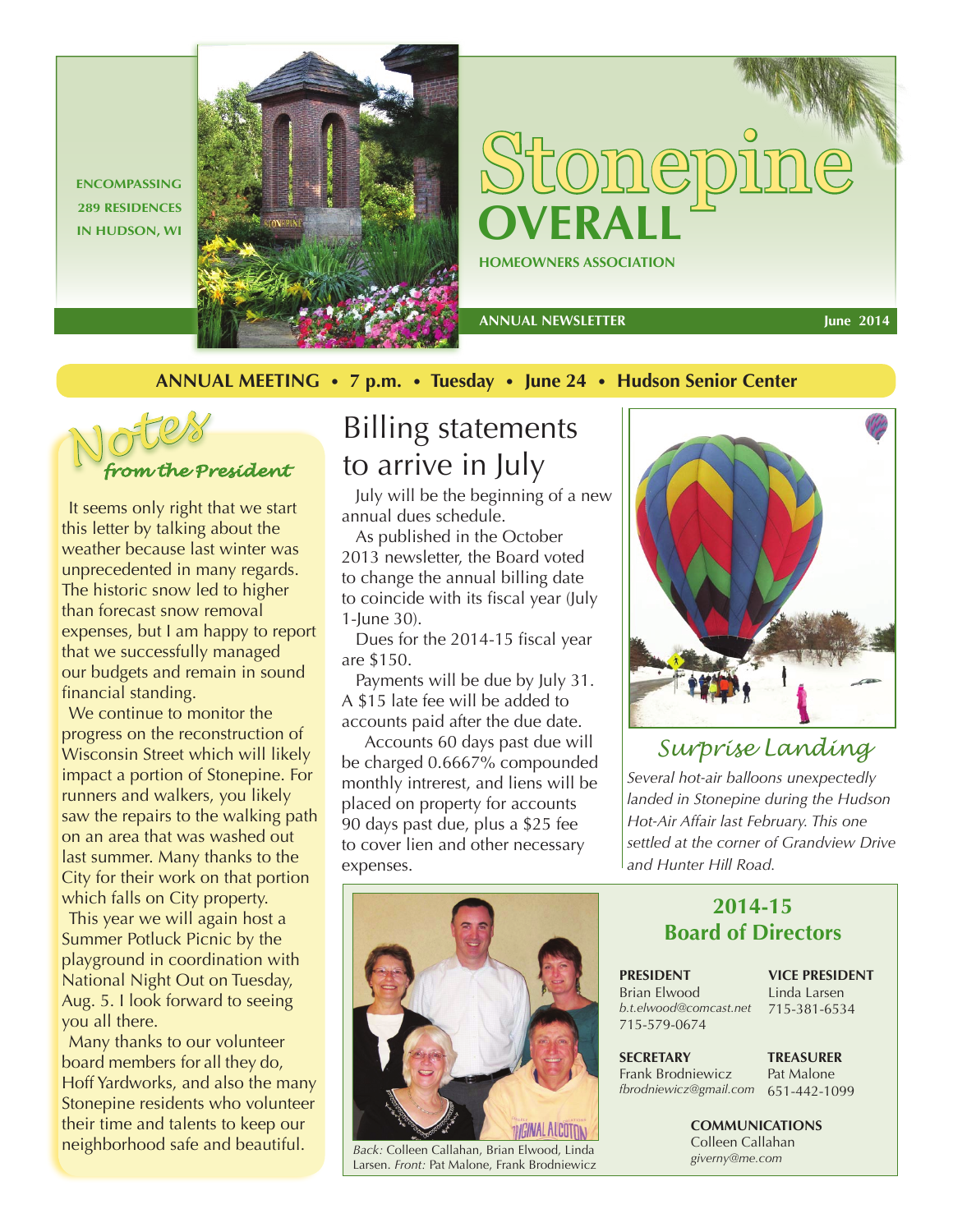**ENCOMPASSING 289 RESIDENCES** 



**HOMEOWNERS ASSOCIATION** Stonepine

 **ANNUAL NEWSLETTER** 

**June 2014**

**ANNUAL MEETING** • **7 p.m.** • **Tuesday** • **June 24** • **Hudson Senior Center**



It seems only right that we start this letter by talking about the weather because last winter was unprecedented in many regards. The historic snow led to higher than forecast snow removal expenses, but I am happy to report that we successfully managed our budgets and remain in sound financial standing.

We continue to monitor the progress on the reconstruction of Wisconsin Street which will likely impact a portion of Stonepine. For runners and walkers, you likely saw the repairs to the walking path on an area that was washed out last summer. Many thanks to the City for their work on that portion which falls on City property.

This year we will again host a Summer Potluck Picnic by the playground in coordination with National Night Out on Tuesday, Aug. 5. I look forward to seeing you all there.

Many thanks to our volunteer board members for all they do, Hoff Yardworks, and also the many Stonepine residents who volunteer their time and talents to keep our neighborhood safe and beautiful.

# Billing statements to arrive in July

July will be the beginning of a new annual dues schedule.

As published in the October 2013 newsletter, the Board voted to change the annual billing date to coincide with its fiscal year (July 1-June 30).

Dues for the 2014-15 fiscal year are \$150.

Payments will be due by July 31. A \$15 late fee will be added to accounts paid after the due date.

 Accounts 60 days past due will be charged 0.6667% compounded monthly intrerest, and liens will be placed on property for accounts 90 days past due, plus a \$25 fee to cover lien and other necessary expenses.



*Back:* Colleen Callahan, Brian Elwood, Linda Larsen. *Front:* Pat Malone, Frank Brodniewicz



## *Surprise Landing*

*Several hot-air balloons unexpectedly landed in Stonepine during the Hudson Hot-Air Affair last February. This one settled at the corner of Grandview Drive and Hunter Hill Road.*

### **2014-15 Board of Directors**

**PRESIDENT** Brian Elwood *b.t.elwood@comcast.net* 715-381-6534 715-579-0674

**VICE PRESIDENT** Linda Larsen

**SECRETARY** Frank Brodniewicz *fbrodniewicz@gmail.com* 651-442-1099

**TREASURER** Pat Malone

**COMMUNICATIONS** Colleen Callahan *giverny@me.com*